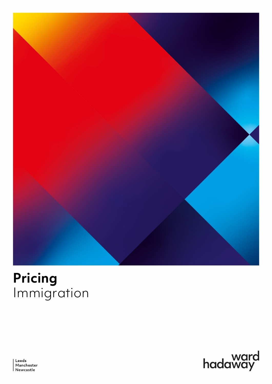

# **Pricing**<br>Immigration



Leeds Manchester Newcastle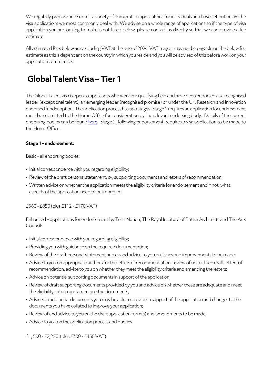We regularly prepare and submit a variety of immigration applications for individuals and have set out below the visa applications we most commonly deal with. We advise on a whole range of applications so if the type of visa application you are looking to make is not listed below, please contact us directly so that we can provide a fee estimate.

All estimated fees below are excluding VAT at the rate of 20%. VAT may or may not be payable on the below fee estimate as this is dependent on the country in which you reside and you will be advised of this before work on your application commences.

# **Global Talent Visa – Tier 1**

The Global Talent visa is open to applicants who work in a qualifying field and have been endorsed as a recognised leader (exceptional talent), an emerging leader (recognised promise) or under the UK Research and Innovation endorsed funder option. The application process has two stages. Stage 1 requires an application for endorsement must be submitted to the Home Office for consideration by the relevant endorsing body. Details of the current endorsing bodies can be foun[d here.](https://www.gov.uk/global-talent/eligibility) Stage 2, following endorsement, requires a visa application to be made to the Home Office.

#### **Stage 1 –endorsement:**

Basic –all endorsing bodies:

- Initial correspondence with you regarding eligibility;
- Review of the draft personal statement, cv, supporting documents and letters of recommendation;
- Written advice on whether the application meets the eligibility criteria for endorsement and if not, what aspects of the application need to be improved.

#### £560 -£850 (plus £112 -£170 VAT)

Enhanced – applications for endorsement by Tech Nation, The Royal Institute of British Architects and The Arts Council:

- Initial correspondence with you regarding eligibility;
- Providing you with guidance on the required documentation;
- Review of the draft personal statement and cv and advice to you on issues and improvements to be made;
- Advice to you on appropriate authors for the letters of recommendation, review of up to three draft letters of recommendation, advice to you on whether they meet the eligibility criteria and amending the letters;
- Advice on potential supporting documents in support of the application;
- Review of draft supporting documents provided by you and advice on whether these are adequate and meet the eligibility criteria and amending the documents;
- Advice on additional documents you may be able to provide in support of the application and changes to the documents you have collated to improve your application;
- Review of and advice to you on the draft application form(s) and amendments to be made;
- Advice to you on the application process and queries.

£1, 500 -£2,250 (plus £300-£450 VAT)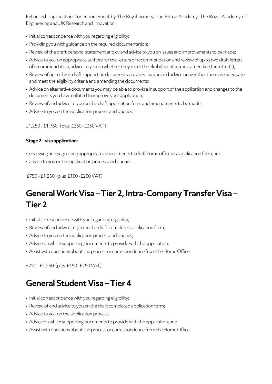Enhanced – applications for endorsement by The Royal Society, The British Academy, The Royal Academy of Engineering and UK Research and Innovation:

- Initial correspondence with you regarding eligibility;
- Providing you with guidance on the required documentation;
- Review of the draft personal statement and cv and advice to you on issues and improvements to be made;
- Advice to you on appropriate authors for the letters of recommendation and review of up to two draft letters of recommendation, advice to you on whether they meet the eligibility criteria and amending the letter(s);
- Review of up to three draft supporting documents provided by you and advice on whether these are adequate and meet the eligibility criteria and amending the documents;
- Advice on alternative documents you may be able to provide in support of the application and changes to the documents you have collated to improve your application;
- Review of and advice to you on the draft application form and amendments to be made;
- Advice to you on the application process and queries.

£1,250 -£1,750 (plus £250 -£350 VAT)

#### **Stage 2 –visa application:**

- reviewing and suggesting appropriate amendments to draft home office visa application form; and
- advice to you on the application process and queries.

£750 -£1,250 (plus £150 -£250 VAT)

# **General Work Visa – Tier 2, Intra-Company Transfer Visa – Tier 2**

- Initial correspondence with you regarding eligibility;
- Review of and advice to you on the draft completed application form;
- Advice to you on the application process and queries;
- Advice on which supporting documents to provide with the application;
- Assist with questions about the process or correspondence from the Home Office.

£750 -£1,250 (plus £150 -£250 VAT)

## **General Student Visa – Tier 4**

- Initial correspondence with you regarding eligibility;
- Review of and advice to you on the draft completed application form;
- Advice to you on the application process;
- Advice on which supporting documents to provide with the application; and
- Assist with questions about the process or correspondence from the Home Office.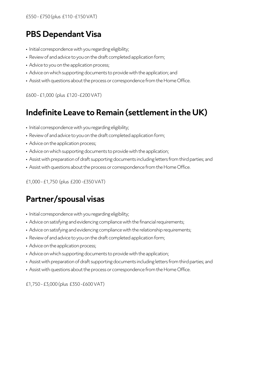### **PBS Dependant Visa**

- Initial correspondence with you regarding eligibility;
- Review of and advice to you on the draft completed application form;
- Advice to you on the application process;
- Advice on which supporting documents to provide with the application; and
- Assist with questions about the process or correspondence from the Home Office.

£600 -£1,000 (plus £120 -£200 VAT)

#### **Indefinite Leave to Remain (settlement in the UK)**

- Initial correspondence with you regarding eligibility;
- Review of and advice to you on the draft completed application form;
- Advice on the application process;
- Advice on which supporting documents to provide with the application;
- Assist with preparation of draft supporting documents including letters from third parties; and
- Assist with questions about the process or correspondence from the Home Office.

£1,000 -£1,750 (plus £200-£350 VAT)

#### **Partner/spousal visas**

- Initial correspondence with you regarding eligibility;
- Advice on satisfying and evidencing compliance with the financial requirements;
- Advice on satisfying and evidencing compliance with the relationship requirements;
- Review of and advice to you on the draft completed application form;
- Advice on the application process;
- Advice on which supporting documents to provide with the application;
- Assist with preparation of draft supporting documents including letters from third parties; and
- Assist with questions about the process or correspondence from the Home Office.

£1,750 -£3,000(plus £350 -£600 VAT)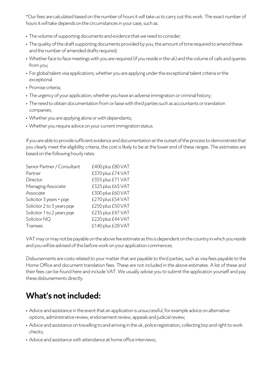\*Our fees are calculated based on the number of hours it will take us to carry out this work. The exact number of hours it will take depends on the circumstances in your case, such as:

- The volume of supporting documents and evidence that we need to consider;
- The quality of the draft supporting documents provided by you, the amount of time required to amend these and the number of amended drafts required;
- Whether face to face meetings with you are required (if you reside in the uk) and the volume of calls and queries from you;
- For global talent visa applications, whether you are applying under the exceptional talent criteria or the exceptional
- Promise criteria;
- The urgency of your application; whether you have an adverse immigration or criminal history;
- The need to obtain documentation from or liaise with third parties such as accountants or translation companies;
- Whether you are applying alone or with dependants;
- Whether you require advice on your current immigration status.

If you are able to provide sufficient evidence and documentation at the outset of the process to demonstrate that you clearly meet the eligibility criteria, the cost is likely to be at the lower end of these ranges. The estimates are based on the following hourly rates:

| Senior Partner / Consultant | £400 plus £80 VAT |
|-----------------------------|-------------------|
| Partner                     | £370 plus £74 VAT |
| Director                    | £355 plus £71 VAT |
| Managing Associate          | £325 plus £65 VAT |
| Associate                   | £300 plus £60 VAT |
| Solicitor 3 years + pge     | £270 plus £54 VAT |
| Solicitor 2 to 3 years pge  | £250 plus £50 VAT |
| Solicitor 1 to 2 years pge  | £235 plus £47 VAT |
| Solicitor NQ                | £220 plus £44 VAT |
| <b>Trainees</b>             | £140 plus £28 VAT |

VAT may or may not be payable on the above fee estimate as this is dependent on the country in which you reside and you will be advised of this before work on your application commences.

Disbursements are costs related to your matter that are payable to third parties, such as visa fees payable to the Home Office and document translation fees. These are not included in the above estimates. A list of these and their fees can be found here and include VAT. We usually advise you to submit the application yourself and pay these disbursements directly.

# **What's not included:**

- Advice and assistance in the event that an application is unsuccessful, for example advice on alternative options, administrative review, endorsement review, appeals and judicial review;
- Advice and assistance on travelling to and arriving in the uk, police registration, collecting brp and right to work checks;
- Advice and assistance with attendance at home office interviews;